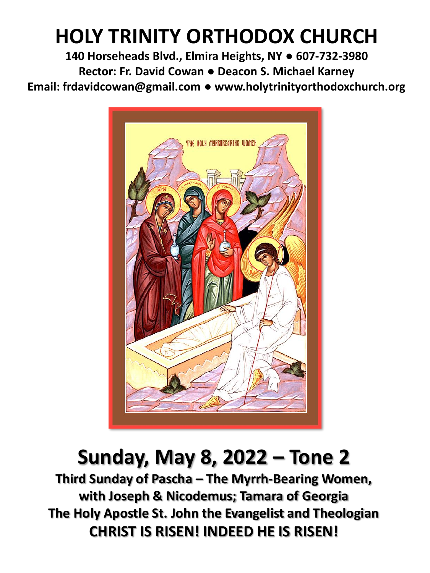# **HOLY TRINITY ORTHODOX CHURCH**

**140 Horseheads Blvd., Elmira Heights, NY ● 607-732-3980 Rector: Fr. David Cowan ● Deacon S. Michael Karney Email: frdavidcowan@gmail.com ● www.holytrinityorthodoxchurch.org**



## **Sunday, May 8, 2022 – Tone 2**

**Third Sunday of Pascha – The Myrrh-Bearing Women, with Joseph & Nicodemus; Tamara of Georgia The Holy Apostle St. John the Evangelist and Theologian CHRIST IS RISEN! INDEED HE IS RISEN!**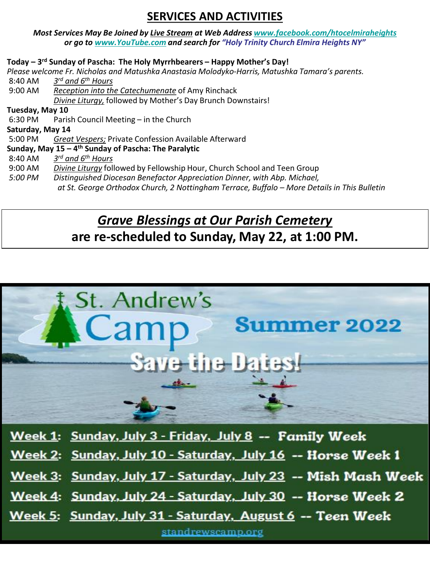## **SERVICES AND ACTIVITIES**

#### *Most Services May Be Joined by Live Stream at Web Address [www.facebook.com/htocelmiraheights](http://www.facebook.com/htocelmiraheights) or go to [www.YouTube.com](http://www.youtube.com/) and search for "Holy Trinity Church Elmira Heights NY"*

#### **Today – 3 rd Sunday of Pascha: The Holy Myrrhbearers – Happy Mother's Day!**

*Please welcome Fr. Nicholas and Matushka Anastasia Molodyko-Harris, Matushka Tamara's parents.* 

8:40 AM *3 rd and 6th Hours* 9:00 AM *Reception into the Catechumenate* of Amy Rinchack *Divine Liturgy,* followed by Mother's Day Brunch Downstairs!

**Tuesday, May 10**

6:30 PM Parish Council Meeting – in the Church

**Saturday, May 14**

5:00 PM *Great Vespers;* Private Confession Available Afterward

#### **Sunday, May 15 – 4 th Sunday of Pascha: The Paralytic**

- 8:40 AM *3 rd and 6th Hours*
- 9:00 AM *Divine Liturgy* followed by Fellowship Hour, Church School and Teen Group
	- **Distinguished Diocesan Benefactor Appreciation Dinner, with Abp. Michael,** 
		- *at St. George Orthodox Church, 2 Nottingham Terrace, Buffalo – More Details in This Bulletin*

## *Grave Blessings at Our Parish Cemetery* **are re-scheduled to Sunday, May 22, at 1:00 PM.**



Week 1: Sunday, July 3 - Friday, July 8 -- Family Week

Week 2: Sunday, July 10 - Saturday, July 16 -- Horse Week 1

Week 3: Sunday, July 17 - Saturday, July 23 -- Mish Mash Week

Week 4: Sunday, July 24 - Saturday, July 30 -- Horse Week 2

Week 5: Sunday, July 31 - Saturday, August 6 -- Teen Week

standrewscamp.org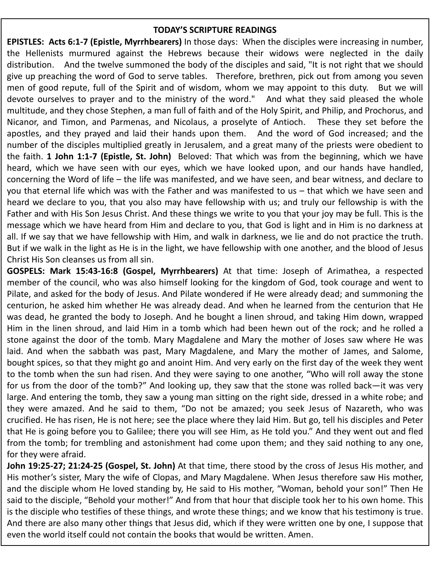#### **TODAY'S SCRIPTURE READINGS**

**EPISTLES: Acts 6:1-7 (Epistle, Myrrhbearers)** In those days: When the disciples were increasing in number, the Hellenists murmured against the Hebrews because their widows were neglected in the daily distribution. And the twelve summoned the body of the disciples and said, "It is not right that we should give up preaching the word of God to serve tables. Therefore, brethren, pick out from among you seven men of good repute, full of the Spirit and of wisdom, whom we may appoint to this duty. But we will devote ourselves to prayer and to the ministry of the word." And what they said pleased the whole multitude, and they chose Stephen, a man full of faith and of the Holy Spirit, and Philip, and Prochorus, and Nicanor, and Timon, and Parmenas, and Nicolaus, a proselyte of Antioch. These they set before the apostles, and they prayed and laid their hands upon them. And the word of God increased; and the number of the disciples multiplied greatly in Jerusalem, and a great many of the priests were obedient to the faith. **1 John 1:1-7 (Epistle, St. John)** Beloved: That which was from the beginning, which we have heard, which we have seen with our eyes, which we have looked upon, and our hands have handled, concerning the Word of life – the life was manifested, and we have seen, and bear witness, and declare to you that eternal life which was with the Father and was manifested to us – that which we have seen and heard we declare to you, that you also may have fellowship with us; and truly our fellowship is with the Father and with His Son Jesus Christ. And these things we write to you that your joy may be full. This is the message which we have heard from Him and declare to you, that God is light and in Him is no darkness at all. If we say that we have fellowship with Him, and walk in darkness, we lie and do not practice the truth. But if we walk in the light as He is in the light, we have fellowship with one another, and the blood of Jesus Christ His Son cleanses us from all sin.

**GOSPELS: Mark 15:43-16:8 (Gospel, Myrrhbearers)** At that time: Joseph of Arimathea, a respected member of the council, who was also himself looking for the kingdom of God, took courage and went to Pilate, and asked for the body of Jesus. And Pilate wondered if He were already dead; and summoning the centurion, he asked him whether He was already dead. And when he learned from the centurion that He was dead, he granted the body to Joseph. And he bought a linen shroud, and taking Him down, wrapped Him in the linen shroud, and laid Him in a tomb which had been hewn out of the rock; and he rolled a stone against the door of the tomb. Mary Magdalene and Mary the mother of Joses saw where He was laid. And when the sabbath was past, Mary Magdalene, and Mary the mother of James, and Salome, bought spices, so that they might go and anoint Him. And very early on the first day of the week they went to the tomb when the sun had risen. And they were saying to one another, "Who will roll away the stone for us from the door of the tomb?" And looking up, they saw that the stone was rolled back—it was very large. And entering the tomb, they saw a young man sitting on the right side, dressed in a white robe; and they were amazed. And he said to them, "Do not be amazed; you seek Jesus of Nazareth, who was crucified. He has risen, He is not here; see the place where they laid Him. But go, tell his disciples and Peter that He is going before you to Galilee; there you will see Him, as He told you." And they went out and fled from the tomb; for trembling and astonishment had come upon them; and they said nothing to any one, for they were afraid.

**John 19:25-27; 21:24-25 (Gospel, St. John)** At that time, there stood by the cross of Jesus His mother, and His mother's sister, Mary the wife of Clopas, and Mary Magdalene. When Jesus therefore saw His mother, and the disciple whom He loved standing by, He said to His mother, "Woman, behold your son!" Then He said to the disciple, "Behold your mother!" And from that hour that disciple took her to his own home. This is the disciple who testifies of these things, and wrote these things; and we know that his testimony is true. And there are also many other things that Jesus did, which if they were written one by one, I suppose that even the world itself could not contain the books that would be written. Amen.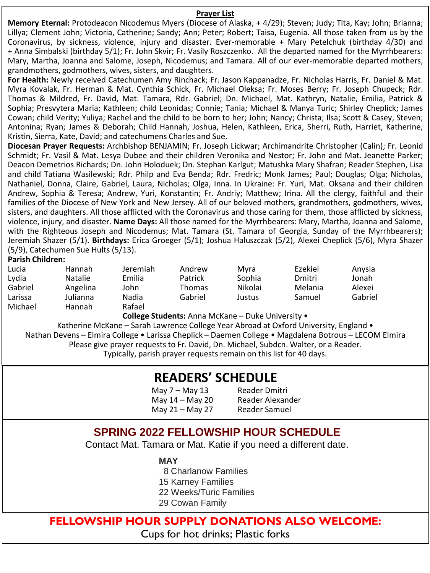#### **Prayer List**

**Memory Eternal:** Protodeacon Nicodemus Myers (Diocese of Alaska, + 4/29); Steven; Judy; Tita, Kay; John; Brianna; Lillya; Clement John; Victoria, Catherine; Sandy; Ann; Peter; Robert; Taisa, Eugenia. All those taken from us by the Coronavirus, by sickness, violence, injury and disaster. Ever-memorable + Mary Petelchuk (birthday 4/30) and + Anna Simbalski (birthday 5/1); Fr. John Skvir; Fr. Vasily Roszczenko. All the departed named for the Myrrhbearers: Mary, Martha, Joanna and Salome, Joseph, Nicodemus; and Tamara. All of our ever-memorable departed mothers, grandmothers, godmothers, wives, sisters, and daughters.

**For Health:** Newly received Catechumen Amy Rinchack; Fr. Jason Kappanadze, Fr. Nicholas Harris, Fr. Daniel & Mat. Myra Kovalak, Fr. Herman & Mat. Cynthia Schick, Fr. Michael Oleksa; Fr. Moses Berry; Fr. Joseph Chupeck; Rdr. Thomas & Mildred, Fr. David, Mat. Tamara, Rdr. Gabriel; Dn. Michael, Mat. Kathryn, Natalie, Emilia, Patrick & Sophia; Presvytera Maria; Kathleen; child Leonidas; Connie; Tania; Michael & Manya Turic; Shirley Cheplick; James Cowan; child Verity; Yuliya; Rachel and the child to be born to her; John; Nancy; Christa; Ilsa; Scott & Casey, Steven; Antonina; Ryan; James & Deborah; Child Hannah, Joshua, Helen, Kathleen, Erica, Sherri, Ruth, Harriet, Katherine, Kristin, Sierra, Kate, David; and catechumens Charles and Sue.

**Diocesan Prayer Requests:** Archbishop BENJAMIN; Fr. Joseph Lickwar; Archimandrite Christopher (Calin); Fr. Leonid Schmidt; Fr. Vasil & Mat. Lesya Dubee and their children Veronika and Nestor; Fr. John and Mat. Jeanette Parker; Deacon Demetrios Richards; Dn. John Holoduek; Dn. Stephan Karlgut; Matushka Mary Shafran; Reader Stephen, Lisa and child Tatiana Wasilewski; Rdr. Philp and Eva Benda; Rdr. Fredric; Monk James; Paul; Douglas; Olga; Nicholas, Nathaniel, Donna, Claire, Gabriel, Laura, Nicholas; Olga, Inna. In Ukraine: Fr. Yuri, Mat. Oksana and their children Andrew, Sophia & Teresa; Andrew, Yuri, Konstantin; Fr. Andriy; Matthew; Irina. All the clergy, faithful and their families of the Diocese of New York and New Jersey. All of our beloved mothers, grandmothers, godmothers, wives, sisters, and daughters. All those afflicted with the Coronavirus and those caring for them, those afflicted by sickness, violence, injury, and disaster. **Name Days:** All those named for the Myrrhbearers: Mary, Martha, Joanna and Salome, with the Righteous Joseph and Nicodemus; Mat. Tamara (St. Tamara of Georgia, Sunday of the Myrrhbearers); Jeremiah Shazer (5/1). **Birthdays:** Erica Groeger (5/1); Joshua Haluszczak (5/2), Alexei Cheplick (5/6), Myra Shazer (5/9), Catechumen Sue Hults (5/13).

#### **Parish Children:**

| Lucia   | Hannah         | Jeremiah | Andrew        | Mvra    | Ezekiel | Anysia  |
|---------|----------------|----------|---------------|---------|---------|---------|
| Lydia   | <b>Natalie</b> | Emilia   | Patrick       | Sophia  | Dmitri  | Jonah   |
| Gabriel | Angelina       | John     | <b>Thomas</b> | Nikolai | Melania | Alexei  |
| Larissa | Julianna       | Nadia    | Gabriel       | Justus  | Samuel  | Gabriel |
| Michael | Hannah         | Rafael   |               |         |         |         |

**College Students:** Anna McKane – Duke University •

Katherine McKane – Sarah Lawrence College Year Abroad at Oxford University, England • Nathan Devens – Elmira College • Larissa Cheplick – Daemen College • Magdalena Botrous – LECOM Elmira Please give prayer requests to Fr. David, Dn. Michael, Subdcn. Walter, or a Reader. Typically, parish prayer requests remain on this list for 40 days.

## **READERS' SCHEDULE**

May 7 – May 13 Reader Dmitri May 21 – May 27 Reader Samuel

May 14 – May 20 Reader Alexander

### **SPRING 2022 FELLOWSHIP HOUR SCHEDULE**

Contact Mat. Tamara or Mat. Katie if you need a different date.

#### **MAY**

8 Charlanow Families

15 Karney Families

22 Weeks/Turic Families

29 Cowan Family

### **FELLOWSHIP HOUR SUPPLY DONATIONS ALSO WELCOME:** Cups for hot drinks; Plastic forks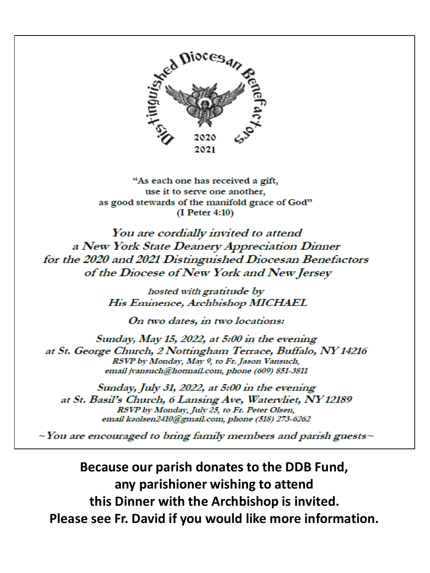

"As each one has received a gift, use it to serve one another, as good stewards of the manifold grace of God"  $(I$  Peter 4:10)

You are cordially invited to attend a New York State Deanery Appreciation Dinner for the 2020 and 2021 Distinguished Diocesan Benefactors of the Diocese of New York and New Jersey

> hosted with gratitude by His Eminence, Archbishop MICHAEL

> > On two dates, in two locations:

Sunday, May 15, 2022, at 5:00 in the evening at St. George Church, 2 Nottingham Terrace, Buffalo, NY 14216 RSVP by Monday, May 9, to Fr. Jason Vansuch, email jvansuch@hotmail.com, phone (609) 851-3811

Sunday, July 31, 2022, at 5:00 in the evening at St. Basil's Church, 6 Lansing Ave, Watervliet, NY 12189 RSVP by Monday, July 25, to Fr. Peter Olsen. email kaolsen2410@gmail.com, phone (518) 273-6262

 $\sim$  You are encouraged to bring family members and parish guests $\sim$ 

Because our parish donates to the DDB Fund, any parishioner wishing to attend this Dinner with the Archbishop is invited. Please see Fr. David if you would like more information.